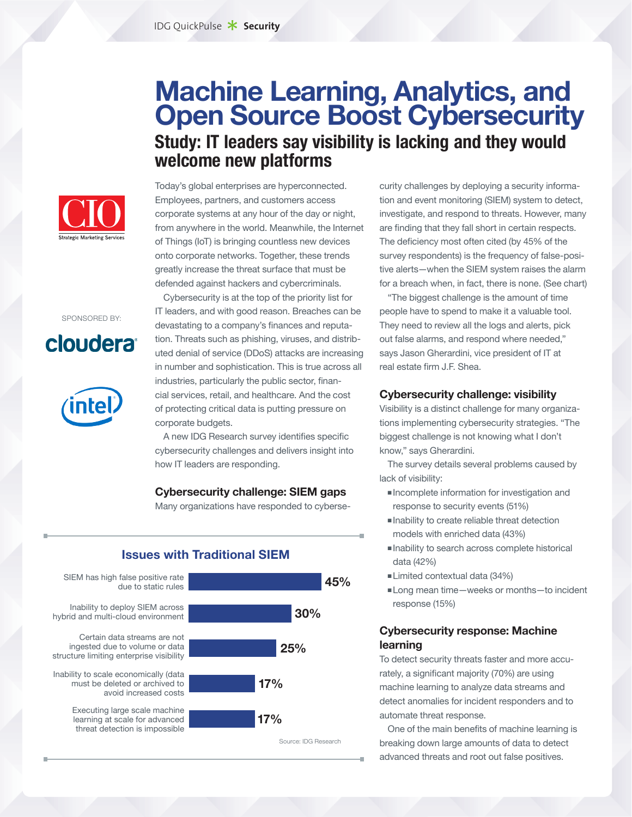## **Machine Learning, Analytics, and Open Source Boost Cybersecurity Study: IT leaders say visibility is lacking and they would welcome new platforms**



SPONSORED BY:

# cloudera<sup>®</sup>



Today's global enterprises are hyperconnected. Employees, partners, and customers access corporate systems at any hour of the day or night, from anywhere in the world. Meanwhile, the Internet of Things (IoT) is bringing countless new devices onto corporate networks. Together, these trends greatly increase the threat surface that must be defended against hackers and cybercriminals.

Cybersecurity is at the top of the priority list for IT leaders, and with good reason. Breaches can be devastating to a company's finances and reputation. Threats such as phishing, viruses, and distributed denial of service (DDoS) attacks are increasing in number and sophistication. This is true across all industries, particularly the public sector, financial services, retail, and healthcare. And the cost of protecting critical data is putting pressure on corporate budgets.

A new IDG Research survey identifies specific cybersecurity challenges and delivers insight into how IT leaders are responding.

#### **Cybersecurity challenge: SIEM gaps**

Many organizations have responded to cyberse-



curity challenges by deploying a security information and event monitoring (SIEM) system to detect, investigate, and respond to threats. However, many are finding that they fall short in certain respects. The deficiency most often cited (by 45% of the survey respondents) is the frequency of false-positive alerts—when the SIEM system raises the alarm for a breach when, in fact, there is none. (See chart)

"The biggest challenge is the amount of time people have to spend to make it a valuable tool. They need to review all the logs and alerts, pick out false alarms, and respond where needed," says Jason Gherardini, vice president of IT at real estate firm J.F. Shea.

#### **Cybersecurity challenge: visibility**

Visibility is a distinct challenge for many organizations implementing cybersecurity strategies. "The biggest challenge is not knowing what I don't know," says Gherardini.

The survey details several problems caused by lack of visibility:

- Incomplete information for investigation and response to security events (51%)
- Inability to create reliable threat detection models with enriched data (43%)
- Inability to search across complete historical data (42%)
- Limited contextual data (34%)
- Long mean time—weeks or months—to incident response (15%)

## **Cybersecurity response: Machine learning**

To detect security threats faster and more accurately, a significant majority (70%) are using machine learning to analyze data streams and detect anomalies for incident responders and to automate threat response.

One of the main benefits of machine learning is breaking down large amounts of data to detect advanced threats and root out false positives.

## **Issues with Traditional SIEM**

SIEM has high false positive rate

Inability to deploy SIEM across hybrid and multi-cloud environment

ingested due to volume or data structure limiting enterprise visibility

Inability to scale economically (data must be deleted or archived to avoid increased costs

> Executing large scale machine learning at scale for advanced threat detection is impossible